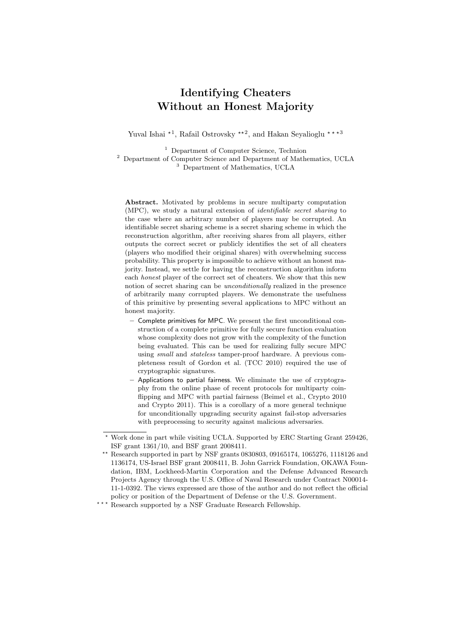# Identifying Cheaters Without an Honest Majority

Yuval Ishai  $*$ <sup>1</sup>, Rafail Ostrovsky  $**$ <sup>2</sup>, and Hakan Seyalioglu  $***$ <sup>3</sup>

<sup>1</sup> Department of Computer Science, Technion

<sup>2</sup> Department of Computer Science and Department of Mathematics, UCLA <sup>3</sup> Department of Mathematics, UCLA

Abstract. Motivated by problems in secure multiparty computation (MPC), we study a natural extension of identifiable secret sharing to the case where an arbitrary number of players may be corrupted. An identifiable secret sharing scheme is a secret sharing scheme in which the reconstruction algorithm, after receiving shares from all players, either outputs the correct secret or publicly identifies the set of all cheaters (players who modified their original shares) with overwhelming success probability. This property is impossible to achieve without an honest majority. Instead, we settle for having the reconstruction algorithm inform each honest player of the correct set of cheaters. We show that this new notion of secret sharing can be unconditionally realized in the presence of arbitrarily many corrupted players. We demonstrate the usefulness of this primitive by presenting several applications to MPC without an honest majority.

- Complete primitives for MPC. We present the first unconditional construction of a complete primitive for fully secure function evaluation whose complexity does not grow with the complexity of the function being evaluated. This can be used for realizing fully secure MPC using small and stateless tamper-proof hardware. A previous completeness result of Gordon et al. (TCC 2010) required the use of cryptographic signatures.
- Applications to partial fairness. We eliminate the use of cryptography from the online phase of recent protocols for multiparty coinflipping and MPC with partial fairness (Beimel et al., Crypto 2010 and Crypto 2011). This is a corollary of a more general technique for unconditionally upgrading security against fail-stop adversaries with preprocessing to security against malicious adversaries.

<sup>?</sup> Work done in part while visiting UCLA. Supported by ERC Starting Grant 259426, ISF grant 1361/10, and BSF grant 2008411.

 $^{\star\star}$  Research supported in part by NSF grants 0830803, 09165174, 1065276, 1118126 and 1136174, US-Israel BSF grant 2008411, B. John Garrick Foundation, OKAWA Foundation, IBM, Lockheed-Martin Corporation and the Defense Advanced Research Projects Agency through the U.S. Office of Naval Research under Contract N00014- 11-1-0392. The views expressed are those of the author and do not reflect the official policy or position of the Department of Defense or the U.S. Government.

<sup>\*\*\*</sup> Research supported by a NSF Graduate Research Fellowship.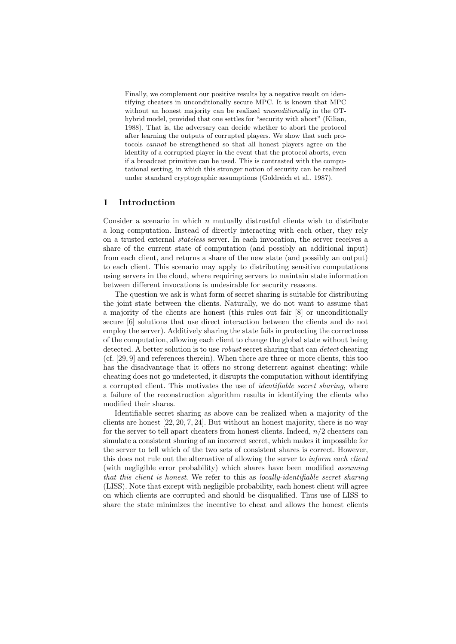Finally, we complement our positive results by a negative result on identifying cheaters in unconditionally secure MPC. It is known that MPC without an honest majority can be realized *unconditionally* in the OThybrid model, provided that one settles for "security with abort" (Kilian, 1988). That is, the adversary can decide whether to abort the protocol after learning the outputs of corrupted players. We show that such protocols cannot be strengthened so that all honest players agree on the identity of a corrupted player in the event that the protocol aborts, even if a broadcast primitive can be used. This is contrasted with the computational setting, in which this stronger notion of security can be realized under standard cryptographic assumptions (Goldreich et al., 1987).

# 1 Introduction

Consider a scenario in which  $n$  mutually distrustful clients wish to distribute a long computation. Instead of directly interacting with each other, they rely on a trusted external stateless server. In each invocation, the server receives a share of the current state of computation (and possibly an additional input) from each client, and returns a share of the new state (and possibly an output) to each client. This scenario may apply to distributing sensitive computations using servers in the cloud, where requiring servers to maintain state information between different invocations is undesirable for security reasons.

The question we ask is what form of secret sharing is suitable for distributing the joint state between the clients. Naturally, we do not want to assume that a majority of the clients are honest (this rules out fair [8] or unconditionally secure [6] solutions that use direct interaction between the clients and do not employ the server). Additively sharing the state fails in protecting the correctness of the computation, allowing each client to change the global state without being detected. A better solution is to use *robust* secret sharing that can *detect* cheating (cf. [29, 9] and references therein). When there are three or more clients, this too has the disadvantage that it offers no strong deterrent against cheating: while cheating does not go undetected, it disrupts the computation without identifying a corrupted client. This motivates the use of identifiable secret sharing, where a failure of the reconstruction algorithm results in identifying the clients who modified their shares.

Identifiable secret sharing as above can be realized when a majority of the clients are honest  $[22, 20, 7, 24]$ . But without an honest majority, there is no way for the server to tell apart cheaters from honest clients. Indeed,  $n/2$  cheaters can simulate a consistent sharing of an incorrect secret, which makes it impossible for the server to tell which of the two sets of consistent shares is correct. However, this does not rule out the alternative of allowing the server to *inform each client* (with negligible error probability) which shares have been modified assuming that this client is honest. We refer to this as locally-identifiable secret sharing (LISS). Note that except with negligible probability, each honest client will agree on which clients are corrupted and should be disqualified. Thus use of LISS to share the state minimizes the incentive to cheat and allows the honest clients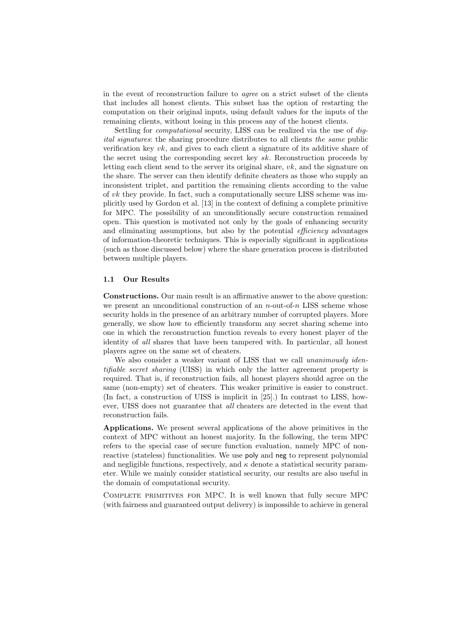in the event of reconstruction failure to agree on a strict subset of the clients that includes all honest clients. This subset has the option of restarting the computation on their original inputs, using default values for the inputs of the remaining clients, without losing in this process any of the honest clients.

Settling for computational security, LISS can be realized via the use of digital signatures: the sharing procedure distributes to all clients the same public verification key  $vk$ , and gives to each client a signature of its additive share of the secret using the corresponding secret key  $sk$ . Reconstruction proceeds by letting each client send to the server its original share,  $vk$ , and the signature on the share. The server can then identify definite cheaters as those who supply an inconsistent triplet, and partition the remaining clients according to the value of  $vk$  they provide. In fact, such a computationally secure LISS scheme was implicitly used by Gordon et al. [13] in the context of defining a complete primitive for MPC. The possibility of an unconditionally secure construction remained open. This question is motivated not only by the goals of enhancing security and eliminating assumptions, but also by the potential *efficiency* advantages of information-theoretic techniques. This is especially significant in applications (such as those discussed below) where the share generation process is distributed between multiple players.

### 1.1 Our Results

Constructions. Our main result is an affirmative answer to the above question: we present an unconditional construction of an  $n$ -out-of-n LISS scheme whose security holds in the presence of an arbitrary number of corrupted players. More generally, we show how to efficiently transform any secret sharing scheme into one in which the reconstruction function reveals to every honest player of the identity of all shares that have been tampered with. In particular, all honest players agree on the same set of cheaters.

We also consider a weaker variant of LISS that we call unanimously identifiable secret sharing (UISS) in which only the latter agreement property is required. That is, if reconstruction fails, all honest players should agree on the same (non-empty) set of cheaters. This weaker primitive is easier to construct. (In fact, a construction of UISS is implicit in [25].) In contrast to LISS, however, UISS does not guarantee that all cheaters are detected in the event that reconstruction fails.

Applications. We present several applications of the above primitives in the context of MPC without an honest majority. In the following, the term MPC refers to the special case of secure function evaluation, namely MPC of nonreactive (stateless) functionalities. We use poly and neg to represent polynomial and negligible functions, respectively, and  $\kappa$  denote a statistical security parameter. While we mainly consider statistical security, our results are also useful in the domain of computational security.

Complete primitives for MPC. It is well known that fully secure MPC (with fairness and guaranteed output delivery) is impossible to achieve in general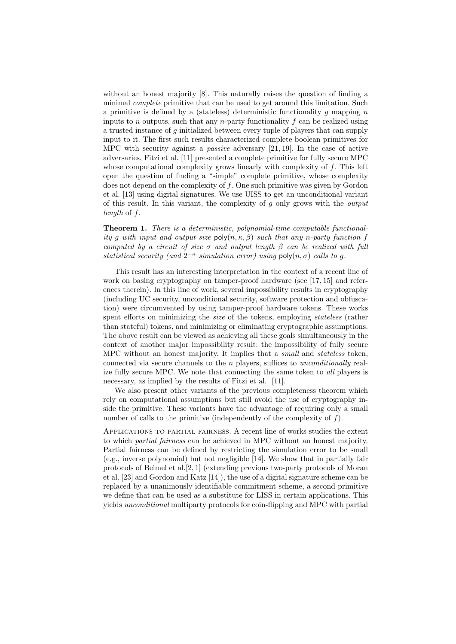without an honest majority [8]. This naturally raises the question of finding a minimal complete primitive that can be used to get around this limitation. Such a primitive is defined by a (stateless) deterministic functionality  $g$  mapping  $n$ inputs to n outputs, such that any n-party functionality  $f$  can be realized using a trusted instance of g initialized between every tuple of players that can supply input to it. The first such results characterized complete boolean primitives for MPC with security against a passive adversary [21, 19]. In the case of active adversaries, Fitzi et al. [11] presented a complete primitive for fully secure MPC whose computational complexity grows linearly with complexity of  $f$ . This left open the question of finding a "simple" complete primitive, whose complexity does not depend on the complexity of f. One such primitive was given by Gordon et al. [13] using digital signatures. We use UISS to get an unconditional variant of this result. In this variant, the complexity of  $g$  only grows with the *output* length of f.

Theorem 1. There is a deterministic, polynomial-time computable functionality g with input and output size  $\text{poly}(n, \kappa, \beta)$  such that any n-party function f computed by a circuit of size  $\sigma$  and output length  $\beta$  can be realized with full statistical security (and  $2^{-\kappa}$  simulation error) using poly $(n, \sigma)$  calls to g.

This result has an interesting interpretation in the context of a recent line of work on basing cryptography on tamper-proof hardware (see [17, 15] and references therein). In this line of work, several impossibility results in cryptography (including UC security, unconditional security, software protection and obfuscation) were circumvented by using tamper-proof hardware tokens. These works spent efforts on minimizing the *size* of the tokens, employing *stateless* (rather than stateful) tokens, and minimizing or eliminating cryptographic assumptions. The above result can be viewed as achieving all these goals simultaneously in the context of another major impossibility result: the impossibility of fully secure MPC without an honest majority. It implies that a *small* and *stateless* token, connected via secure channels to the  $n$  players, suffices to *unconditionally* realize fully secure MPC. We note that connecting the same token to all players is necessary, as implied by the results of Fitzi et al. [11].

We also present other variants of the previous completeness theorem which rely on computational assumptions but still avoid the use of cryptography inside the primitive. These variants have the advantage of requiring only a small number of calls to the primitive (independently of the complexity of  $f$ ).

Applications to partial fairness. A recent line of works studies the extent to which partial fairness can be achieved in MPC without an honest majority. Partial fairness can be defined by restricting the simulation error to be small (e.g., inverse polynomial) but not negligible [14]. We show that in partially fair protocols of Beimel et al.[2, 1] (extending previous two-party protocols of Moran et al. [23] and Gordon and Katz [14]), the use of a digital signature scheme can be replaced by a unanimously identifiable commitment scheme, a second primitive we define that can be used as a substitute for LISS in certain applications. This yields unconditional multiparty protocols for coin-flipping and MPC with partial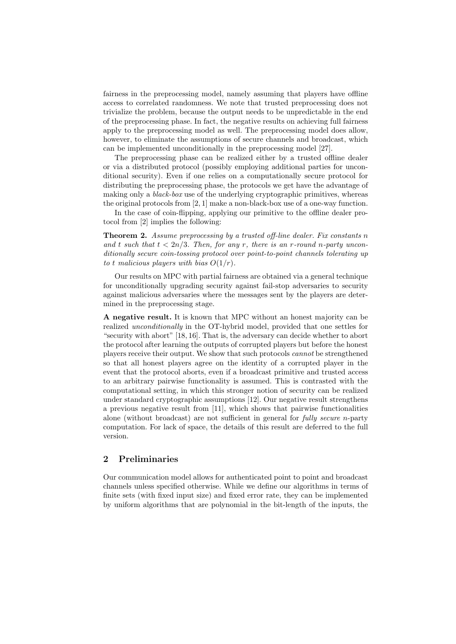fairness in the preprocessing model, namely assuming that players have offline access to correlated randomness. We note that trusted preprocessing does not trivialize the problem, because the output needs to be unpredictable in the end of the preprocessing phase. In fact, the negative results on achieving full fairness apply to the preprocessing model as well. The preprocessing model does allow, however, to eliminate the assumptions of secure channels and broadcast, which can be implemented unconditionally in the preprocessing model [27].

The preprocessing phase can be realized either by a trusted offline dealer or via a distributed protocol (possibly employing additional parties for unconditional security). Even if one relies on a computationally secure protocol for distributing the preprocessing phase, the protocols we get have the advantage of making only a *black-box* use of the underlying cryptographic primitives, whereas the original protocols from [2, 1] make a non-black-box use of a one-way function.

In the case of coin-flipping, applying our primitive to the offline dealer protocol from [2] implies the following:

**Theorem 2.** Assume preprocessing by a trusted off-line dealer. Fix constants n and t such that  $t < 2n/3$ . Then, for any r, there is an r-round n-party unconditionally secure coin-tossing protocol over point-to-point channels tolerating up to t malicious players with bias  $O(1/r)$ .

Our results on MPC with partial fairness are obtained via a general technique for unconditionally upgrading security against fail-stop adversaries to security against malicious adversaries where the messages sent by the players are determined in the preprocessing stage.

A negative result. It is known that MPC without an honest majority can be realized unconditionally in the OT-hybrid model, provided that one settles for "security with abort" [18, 16]. That is, the adversary can decide whether to abort the protocol after learning the outputs of corrupted players but before the honest players receive their output. We show that such protocols cannot be strengthened so that all honest players agree on the identity of a corrupted player in the event that the protocol aborts, even if a broadcast primitive and trusted access to an arbitrary pairwise functionality is assumed. This is contrasted with the computational setting, in which this stronger notion of security can be realized under standard cryptographic assumptions [12]. Our negative result strengthens a previous negative result from [11], which shows that pairwise functionalities alone (without broadcast) are not sufficient in general for fully secure n-party computation. For lack of space, the details of this result are deferred to the full version.

# 2 Preliminaries

Our communication model allows for authenticated point to point and broadcast channels unless specified otherwise. While we define our algorithms in terms of finite sets (with fixed input size) and fixed error rate, they can be implemented by uniform algorithms that are polynomial in the bit-length of the inputs, the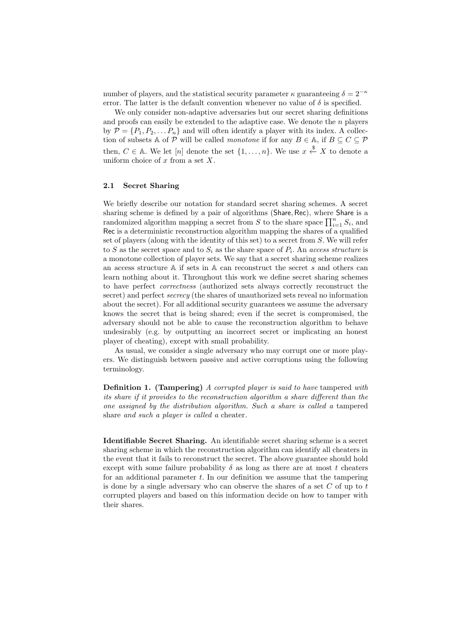number of players, and the statistical security parameter  $\kappa$  guaranteeing  $\delta = 2^{-\kappa}$ error. The latter is the default convention whenever no value of  $\delta$  is specified.

We only consider non-adaptive adversaries but our secret sharing definitions and proofs can easily be extended to the adaptive case. We denote the  $n$  players by  $\mathcal{P} = \{P_1, P_2, \ldots, P_n\}$  and will often identify a player with its index. A collection of subsets A of P will be called monotone if for any  $B \in A$ , if  $B \subseteq C \subseteq \mathcal{P}$ then,  $C \in \mathbb{A}$ . We let  $[n]$  denote the set  $\{1, \ldots, n\}$ . We use  $x \stackrel{\$}{\leftarrow} X$  to denote a uniform choice of  $x$  from a set  $X$ .

#### 2.1 Secret Sharing

We briefly describe our notation for standard secret sharing schemes. A secret sharing scheme is defined by a pair of algorithms (Share, Rec), where Share is a randomized algorithm mapping a secret from S to the share space  $\prod_{i=1}^{n} S_i$ , and Rec is a deterministic reconstruction algorithm mapping the shares of a qualified set of players (along with the identity of this set) to a secret from S. We will refer to S as the secret space and to  $S_i$  as the share space of  $P_i$ . An access structure is a monotone collection of player sets. We say that a secret sharing scheme realizes an access structure A if sets in A can reconstruct the secret s and others can learn nothing about it. Throughout this work we define secret sharing schemes to have perfect correctness (authorized sets always correctly reconstruct the secret) and perfect *secrecy* (the shares of unauthorized sets reveal no information about the secret). For all additional security guarantees we assume the adversary knows the secret that is being shared; even if the secret is compromised, the adversary should not be able to cause the reconstruction algorithm to behave undesirably (e.g. by outputting an incorrect secret or implicating an honest player of cheating), except with small probability.

As usual, we consider a single adversary who may corrupt one or more players. We distinguish between passive and active corruptions using the following terminology.

**Definition 1. (Tampering)** A corrupted player is said to have tampered with its share if it provides to the reconstruction algorithm a share different than the one assigned by the distribution algorithm. Such a share is called a tampered share and such a player is called a cheater.

Identifiable Secret Sharing. An identifiable secret sharing scheme is a secret sharing scheme in which the reconstruction algorithm can identify all cheaters in the event that it fails to reconstruct the secret. The above guarantee should hold except with some failure probability  $\delta$  as long as there are at most t cheaters for an additional parameter  $t$ . In our definition we assume that the tampering is done by a single adversary who can observe the shares of a set  $C$  of up to  $t$ corrupted players and based on this information decide on how to tamper with their shares.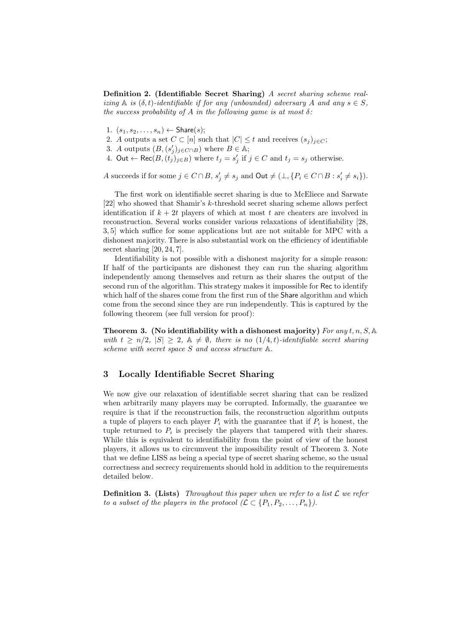Definition 2. (Identifiable Secret Sharing) A secret sharing scheme realizing  $\mathbb A$  is  $(\delta, t)$ -identifiable if for any (unbounded) adversary A and any  $s \in S$ , the success probability of A in the following game is at most  $\delta$ :

- 1.  $(s_1, s_2, ..., s_n) \leftarrow$  Share $(s)$ ;
- 2. A outputs a set  $C \subset [n]$  such that  $|C| \leq t$  and receives  $(s_i)_{i \in C}$ ;
- 3. A outputs  $(B, (s'_j)_{j \in C \cap B})$  where  $B \in \mathbb{A}$ ;
- 4. Out  $\leftarrow \text{Rec}(B,(t_j)_{j\in B})$  where  $t_j = s'_j$  if  $j \in C$  and  $t_j = s_j$  otherwise.

A succeeds if for some  $j \in C \cap B$ ,  $s'_j \neq s_j$  and  $\mathsf{Out} \neq (\perp, \{P_i \in C \cap B : s'_i \neq s_i\}).$ 

The first work on identifiable secret sharing is due to McEliece and Sarwate [22] who showed that Shamir's k-threshold secret sharing scheme allows perfect identification if  $k + 2t$  players of which at most t are cheaters are involved in reconstruction. Several works consider various relaxations of identifiability [28, 3, 5] which suffice for some applications but are not suitable for MPC with a dishonest majority. There is also substantial work on the efficiency of identifiable secret sharing [20, 24, 7].

Identifiability is not possible with a dishonest majority for a simple reason: If half of the participants are dishonest they can run the sharing algorithm independently among themselves and return as their shares the output of the second run of the algorithm. This strategy makes it impossible for Rec to identify which half of the shares come from the first run of the Share algorithm and which come from the second since they are run independently. This is captured by the following theorem (see full version for proof):

Theorem 3. (No identifiability with a dishonest majority) For any  $t, n, S, \mathbb{A}$ with  $t \geq n/2$ ,  $|S| \geq 2$ ,  $\mathbb{A} \neq \emptyset$ , there is no  $(1/4, t)$ -identifiable secret sharing scheme with secret space S and access structure A.

# 3 Locally Identifiable Secret Sharing

We now give our relaxation of identifiable secret sharing that can be realized when arbitrarily many players may be corrupted. Informally, the guarantee we require is that if the reconstruction fails, the reconstruction algorithm outputs a tuple of players to each player  $P_i$  with the guarantee that if  $P_i$  is honest, the tuple returned to  $P_i$  is precisely the players that tampered with their shares. While this is equivalent to identifiability from the point of view of the honest players, it allows us to circumvent the impossibility result of Theorem 3. Note that we define LISS as being a special type of secret sharing scheme, so the usual correctness and secrecy requirements should hold in addition to the requirements detailed below.

**Definition 3. (Lists)** Throughout this paper when we refer to a list  $\mathcal{L}$  we refer to a subset of the players in the protocol  $(\mathcal{L} \subset \{P_1, P_2, \ldots, P_n\})$ .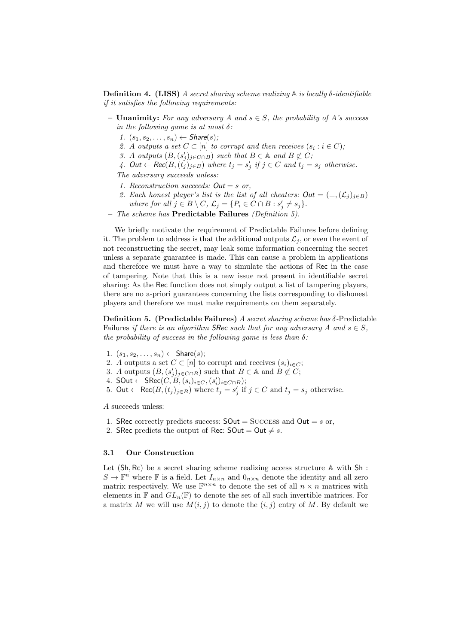**Definition 4. (LISS)** A secret sharing scheme realizing  $\mathbb A$  is locally  $\delta$ -identifiable if it satisfies the following requirements:

- **Unanimity:** For any adversary A and  $s \in S$ , the probability of A's success in the following game is at most  $\delta$ :
	- 1.  $(s_1, s_2, \ldots, s_n) \leftarrow$  Share $(s)$ ;
	- 2. A outputs a set  $C \subset [n]$  to corrupt and then receives  $(s_i : i \in C)$ ,
	- 3. A outputs  $(B, (s'_j)_{j\in C\cap B})$  such that  $B \in \mathbb{A}$  and  $B \not\subset C$ ;
	- 4. Out  $\leftarrow \textsf{Rec}(B,(t_j)_{j\in B})$  where  $t_j = s'_j$  if  $j \in C$  and  $t_j = s_j$  otherwise.

The adversary succeeds unless:

- 1. Reconstruction succeeds:  $Out = s$  or,
- 2. Each honest player's list is the list of all cheaters:  $Out = (\perp, (\mathcal{L}_i)_{i \in B})$ where for all  $j \in B \setminus C$ ,  $\mathcal{L}_j = \{P_i \in C \cap B : s'_j \neq s_j\}.$
- $-$  The scheme has **Predictable Failures** (Definition 5).

We briefly motivate the requirement of Predictable Failures before defining it. The problem to address is that the additional outputs  $\mathcal{L}_i$ , or even the event of not reconstructing the secret, may leak some information concerning the secret unless a separate guarantee is made. This can cause a problem in applications and therefore we must have a way to simulate the actions of Rec in the case of tampering. Note that this is a new issue not present in identifiable secret sharing: As the Rec function does not simply output a list of tampering players, there are no a-priori guarantees concerning the lists corresponding to dishonest players and therefore we must make requirements on them separately.

Definition 5. (Predictable Failures) A secret sharing scheme has  $\delta$ -Predictable Failures if there is an algorithm **SRec** such that for any adversary A and  $s \in S$ , the probability of success in the following game is less than  $\delta$ :

- 1.  $(s_1, s_2, \ldots, s_n) \leftarrow$  Share $(s)$ ;
- 2. A outputs a set  $C \subset [n]$  to corrupt and receives  $(s_i)_{i \in C}$ ;
- 3. A outputs  $(B, (s'_j)_{j\in C\cap B})$  such that  $B \in A$  and  $B \not\subset C$ ;
- 4. SOut  $\leftarrow \textsf{SRec}(C, B, (s_i)_{i \in C}, (s'_i)_{i \in C \cap B});$
- 5. Out ← Rec $(B, (t_j)_{j \in B})$  where  $t_j = s'_j$  if  $j \in C$  and  $t_j = s_j$  otherwise.

A succeeds unless:

- 1. SRec correctly predicts success:  $SOut = Success$  and  $Out = s$  or,
- 2. SRec predicts the output of Rec: SOut = Out  $\neq s$ .

## 3.1 Our Construction

Let  $(Sh, Re)$  be a secret sharing scheme realizing access structure A with Sh;  $S \to \mathbb{F}^n$  where F is a field. Let  $I_{n \times n}$  and  $0_{n \times n}$  denote the identity and all zero matrix respectively. We use  $\mathbb{F}^{n \times n}$  to denote the set of all  $n \times n$  matrices with elements in  $\mathbb F$  and  $GL_n(\mathbb F)$  to denote the set of all such invertible matrices. For a matrix M we will use  $M(i, j)$  to denote the  $(i, j)$  entry of M. By default we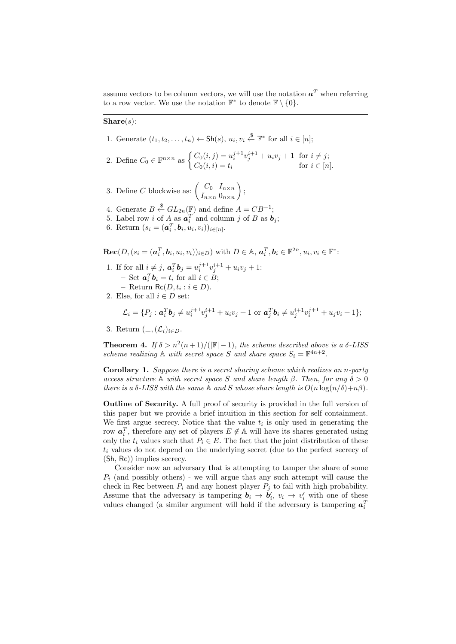assume vectors to be column vectors, we will use the notation  $a^T$  when referring to a row vector. We use the notation  $\mathbb{F}^*$  to denote  $\mathbb{F} \setminus \{0\}$ .

 $$ 

1. Generate  $(t_1, t_2, \ldots, t_n) \leftarrow \mathsf{Sh}(s), u_i, v_i \stackrel{\$}{\leftarrow} \mathbb{F}^*$  for all  $i \in [n]$ ;

- 2. Define  $C_0 \in \mathbb{F}^{n \times n}$  as  $\begin{cases} C_0(i,j) = u_i^{j+1} v_j^{i+1} + u_i v_j + 1 \text{ for } i \neq j; \\ C_i(i,j) = i \end{cases}$  $C_0(i, i) = t_i$  for  $i \in [n]$ .
- 3. Define C blockwise as:  $\begin{pmatrix} C_0 & I_{n \times n} \\ I_0 & 0 \end{pmatrix}$  $I_{n\times n}$   $0_{n\times n}$  $\bigg)$  ;
- 4. Generate  $B \xleftarrow{\$} GL_{2n}(\mathbb{F})$  and define  $A = CB^{-1}$ ;
- 5. Label row i of A as  $a_i^T$  and column j of B as  $b_j$ ;
- 6. Return  $(s_i = (a_i^T, b_i, u_i, v_i))_{i \in [n]}$ .

 $\textbf{Rec}(D,(s_i = (\boldsymbol{a}_i^T, \boldsymbol{b}_i, u_i, v_i))_{i \in D})$  with  $D \in \mathbb{A}, \boldsymbol{a}_i^T, \boldsymbol{b}_i \in \mathbb{F}^{2n}, u_i, v_i \in \mathbb{F}^*$ :

- 1. If for all  $i \neq j$ ,  $a_i^T b_j = u_i^{j+1} v_j^{i+1} + u_i v_j + 1$ :  $-$  Set  $a_i^T b_i = t_i$  for all  $i \in B;$  $-$  Return Rc( $D, t_i : i \in D$ ).
- 2. Else, for all  $i \in D$  set:

$$
\mathcal{L}_i = \{ P_j : \mathbf{a}_i^T \mathbf{b}_j \neq u_i^{j+1} v_j^{i+1} + u_i v_j + 1 \text{ or } \mathbf{a}_j^T \mathbf{b}_i \neq u_j^{i+1} v_i^{j+1} + u_j v_i + 1 \};
$$

3. Return  $(\perp, (\mathcal{L}_i)_{i \in D})$ .

**Theorem 4.** If  $\delta > n^2(n+1)/(|\mathbb{F}|-1)$ , the scheme described above is a  $\delta$ -LISS scheme realizing  $\mathbb A$  with secret space S and share space  $S_i = \mathbb{F}^{4n+2}$ .

Corollary 1. Suppose there is a secret sharing scheme which realizes an n-party access structure A with secret space S and share length  $\beta$ . Then, for any  $\delta > 0$ there is a  $\delta$ -LISS with the same A and S whose share length is  $O(n \log(n/\delta) + n\beta)$ .

Outline of Security. A full proof of security is provided in the full version of this paper but we provide a brief intuition in this section for self containment. We first argue secrecy. Notice that the value  $t_i$  is only used in generating the row  $a_i^T$ , therefore any set of players  $E \notin A$  will have its shares generated using only the  $t_i$  values such that  $P_i \in E$ . The fact that the joint distribution of these  $t_i$  values do not depend on the underlying secret (due to the perfect secrecy of (Sh, Rc)) implies secrecy.

Consider now an adversary that is attempting to tamper the share of some  $P_i$  (and possibly others) - we will argue that any such attempt will cause the check in Rec between  $P_i$  and any honest player  $P_j$  to fail with high probability. Assume that the adversary is tampering  $b_i \rightarrow b'_i$ ,  $v_i \rightarrow v'_i$  with one of these values changed (a similar argument will hold if the adversary is tampering  $a_i^T$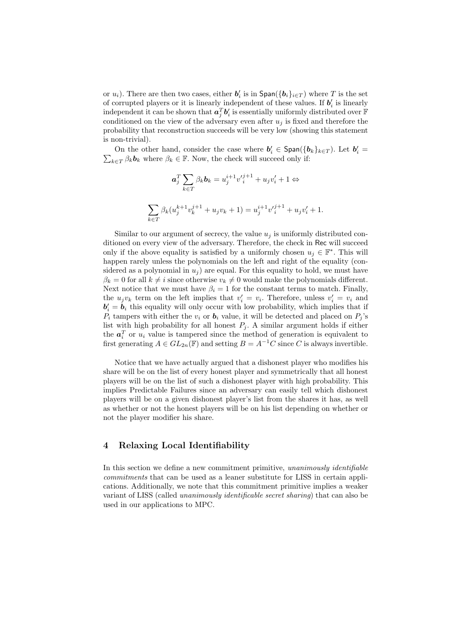or  $u_i$ ). There are then two cases, either  $b'_i$  is in  $\mathsf{Span}(\{\boldsymbol{b}_i\}_{i\in T})$  where T is the set of corrupted players or it is linearly independent of these values. If  $b_i'$  is linearly independent it can be shown that  $a_j^T b_i'$  is essentially uniformly distributed over  $\mathbb F$ conditioned on the view of the adversary even after  $u_j$  is fixed and therefore the probability that reconstruction succeeds will be very low (showing this statement is non-trivial).

On the other hand, consider the case where  $b'_i \in \text{Span}(\{b_k\}_{k\in T})$ . Let  $b'_i =$  $\sum_{k\in\mathcal{T}} \beta_k \mathbf{b}_k$  where  $\beta_k \in \mathbb{F}$ . Now, the check will succeed only if:

$$
\mathbf{a}_j^T \sum_{k \in T} \beta_k \mathbf{b}_k = u_j^{i+1} v_j'^{j+1} + u_j v_i' + 1 \Leftrightarrow
$$
  

$$
\sum_{k \in T} \beta_k (u_j^{k+1} v_k^{j+1} + u_j v_k + 1) = u_j^{i+1} v_j'^{j+1} + u_j v_i' + 1.
$$

Similar to our argument of secrecy, the value  $u_j$  is uniformly distributed conditioned on every view of the adversary. Therefore, the check in Rec will succeed only if the above equality is satisfied by a uniformly chosen  $u_j \in \mathbb{F}^*$ . This will happen rarely unless the polynomials on the left and right of the equality (considered as a polynomial in  $u_j$ ) are equal. For this equality to hold, we must have  $\beta_k = 0$  for all  $k \neq i$  since otherwise  $v_k \neq 0$  would make the polynomials different. Next notice that we must have  $\beta_i = 1$  for the constant terms to match. Finally, the  $u_jv_k$  term on the left implies that  $v'_i = v_i$ . Therefore, unless  $v'_i = v_i$  and  $b_i' = b_i$  this equality will only occur with low probability, which implies that if  $P_i$  tampers with either the  $v_i$  or  $b_i$  value, it will be detected and placed on  $P_j$ 's list with high probability for all honest  $P_j$ . A similar argument holds if either the  $a_i^T$  or  $u_i$  value is tampered since the method of generation is equivalent to first generating  $A \in GL_{2n}(\mathbb{F})$  and setting  $B = A^{-1}C$  since C is always invertible.

Notice that we have actually argued that a dishonest player who modifies his share will be on the list of every honest player and symmetrically that all honest players will be on the list of such a dishonest player with high probability. This implies Predictable Failures since an adversary can easily tell which dishonest players will be on a given dishonest player's list from the shares it has, as well as whether or not the honest players will be on his list depending on whether or not the player modifier his share.

# 4 Relaxing Local Identifiability

In this section we define a new commitment primitive, *unanimously identifiable* commitments that can be used as a leaner substitute for LISS in certain applications. Additionally, we note that this commitment primitive implies a weaker variant of LISS (called unanimously identificable secret sharing) that can also be used in our applications to MPC.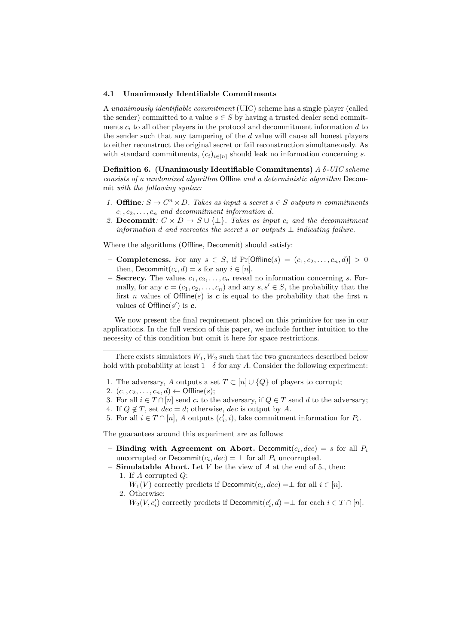#### 4.1 Unanimously Identifiable Commitments

A unanimously identifiable commitment (UIC) scheme has a single player (called the sender) committed to a value  $s \in S$  by having a trusted dealer send commitments  $c_i$  to all other players in the protocol and decommitment information d to the sender such that any tampering of the  $d$  value will cause all honest players to either reconstruct the original secret or fail reconstruction simultaneously. As with standard commitments,  $(c_i)_{i\in[n]}$  should leak no information concerning s.

Definition 6. (Unanimously Identifiable Commitments)  $A \delta$ -UIC scheme consists of a randomized algorithm Offline and a deterministic algorithm Decommit with the following syntax:

- 1. Offline:  $S \to C^n \times D$ . Takes as input a secret  $s \in S$  outputs n commitments  $c_1, c_2, \ldots, c_n$  and decommitment information d.
- 2. **Decommit:**  $C \times D \rightarrow S \cup \{\perp\}$ . Takes as input  $c_i$  and the decommitment information d and recreates the secret s or outputs  $\perp$  indicating failure.

Where the algorithms (Offline, Decommit) should satisfy:

- **Completeness.** For any  $s \in S$ , if Pr[Offline(s) =  $(c_1, c_2, \ldots, c_n, d)$ ] > 0 then, Decommit $(c_i, d) = s$  for any  $i \in [n]$ .
- Secrecy. The values  $c_1, c_2, \ldots, c_n$  reveal no information concerning s. Formally, for any  $\mathbf{c} = (c_1, c_2, \ldots, c_n)$  and any  $s, s' \in S$ , the probability that the first n values of Offline(s) is c is equal to the probability that the first n values of Offline $(s')$  is c.

We now present the final requirement placed on this primitive for use in our applications. In the full version of this paper, we include further intuition to the necessity of this condition but omit it here for space restrictions.

There exists simulators  $W_1, W_2$  such that the two guarantees described below hold with probability at least  $1-\delta$  for any A. Consider the following experiment:

- 1. The adversary, A outputs a set  $T \subset [n] \cup \{Q\}$  of players to corrupt;
- 2.  $(c_1, c_2, \ldots, c_n, d) \leftarrow \text{Offline}(s);$
- 3. For all  $i \in T \cap [n]$  send  $c_i$  to the adversary, if  $Q \in T$  send d to the adversary;
- 4. If  $Q \notin T$ , set  $dec = d$ ; otherwise,  $dec$  is output by A.
- 5. For all  $i \in T \cap [n]$ , A outputs  $(c'_i, i)$ , fake commitment information for  $P_i$ .

The guarantees around this experiment are as follows:

- Binding with Agreement on Abort. Decommit $(c_i, dec) = s$  for all  $P_i$ uncorrupted or Decommit $(c_i, dec) = \bot$  for all  $P_i$  uncorrupted.
- **Simulatable Abort.** Let  $V$  be the view of  $A$  at the end of 5., then: 1. If A corrupted Q:
	- $W_1(V)$  correctly predicts if Decommit $(c_i, dec) = \perp$  for all  $i \in [n]$ .
	- 2. Otherwise:

 $W_2(V, c'_i)$  correctly predicts if Decommit $(c'_i, d) = \perp$  for each  $i \in T \cap [n]$ .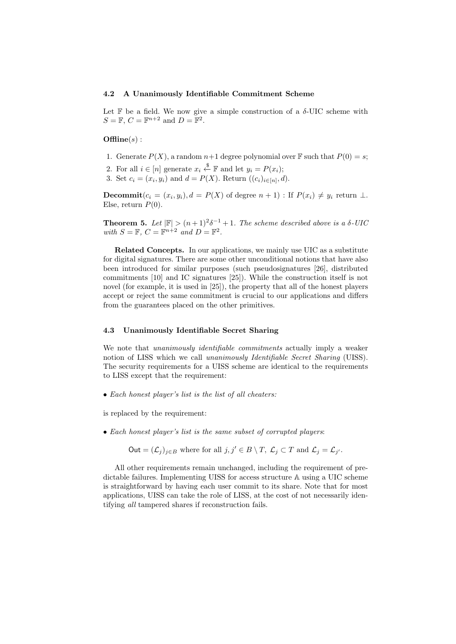#### 4.2 A Unanimously Identifiable Commitment Scheme

Let  $\mathbb F$  be a field. We now give a simple construction of a  $\delta$ -UIC scheme with  $S = \mathbb{F}, C = \mathbb{F}^{n+2}$  and  $D = \mathbb{F}^2$ .

### $\text{Offine}(s)$ :

- 1. Generate  $P(X)$ , a random  $n+1$  degree polynomial over  $\mathbb F$  such that  $P(0) = s$ ;
- 2. For all  $i \in [n]$  generate  $x_i \stackrel{\$}{\leftarrow} \mathbb{F}$  and let  $y_i = P(x_i)$ ;
- 3. Set  $c_i = (x_i, y_i)$  and  $d = P(X)$ . Return  $((c_i)_{i \in [n]}, d)$ .

**Decommit** $(c_i = (x_i, y_i), d = P(X)$  of degree  $n + 1$ ) : If  $P(x_i) \neq y_i$  return  $\perp$ . Else, return  $P(0)$ .

**Theorem 5.** Let  $|\mathbb{F}| > (n+1)^2 \delta^{-1} + 1$ . The scheme described above is a  $\delta$ -UIC with  $S = \mathbb{F}$ ,  $C = \mathbb{F}^{n+2}$  and  $D = \mathbb{F}^2$ .

Related Concepts. In our applications, we mainly use UIC as a substitute for digital signatures. There are some other unconditional notions that have also been introduced for similar purposes (such pseudosignatures [26], distributed commitments [10] and IC signatures [25]). While the construction itself is not novel (for example, it is used in [25]), the property that all of the honest players accept or reject the same commitment is crucial to our applications and differs from the guarantees placed on the other primitives.

### 4.3 Unanimously Identifiable Secret Sharing

We note that *unanimously identifiable commitments* actually imply a weaker notion of LISS which we call unanimously Identifiable Secret Sharing (UISS). The security requirements for a UISS scheme are identical to the requirements to LISS except that the requirement:

• Each honest player's list is the list of all cheaters:

is replaced by the requirement:

• Each honest player's list is the same subset of corrupted players:

Out =  $(\mathcal{L}_j)_{j \in B}$  where for all  $j, j' \in B \setminus T$ ,  $\mathcal{L}_j \subset T$  and  $\mathcal{L}_j = \mathcal{L}_{j'}$ .

All other requirements remain unchanged, including the requirement of predictable failures. Implementing UISS for access structure A using a UIC scheme is straightforward by having each user commit to its share. Note that for most applications, UISS can take the role of LISS, at the cost of not necessarily identifying all tampered shares if reconstruction fails.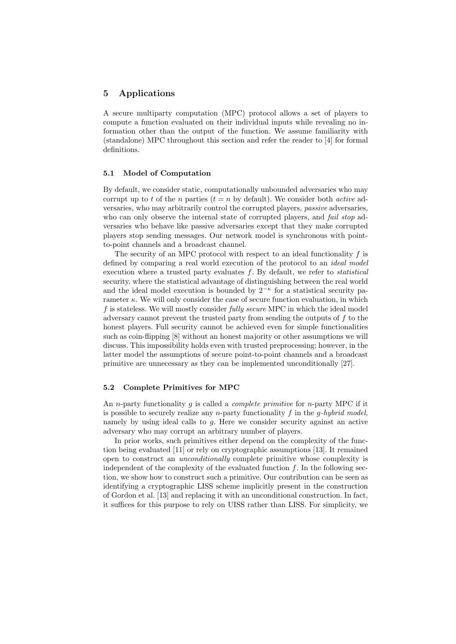# 5 Applications

A secure multiparty computation (MPC) protocol allows a set of players to compute a function evaluated on their individual inputs while revealing no information other than the output of the function. We assume familiarity with (standalone) MPC throughout this section and refer the reader to [4] for formal definitions.

### 5.1 Model of Computation

By default, we consider static, computationally unbounded adversaries who may corrupt up to t of the n parties  $(t = n)$  by default). We consider both *active* adversaries, who may arbitrarily control the corrupted players, passive adversaries, who can only observe the internal state of corrupted players, and *fail stop* adversaries who behave like passive adversaries except that they make corrupted players stop sending messages. Our network model is synchronous with pointto-point channels and a broadcast channel.

The security of an MPC protocol with respect to an ideal functionality  $f$  is defined by comparing a real world execution of the protocol to an ideal model execution where a trusted party evaluates  $f$ . By default, we refer to *statistical* security, where the statistical advantage of distinguishing between the real world and the ideal model execution is bounded by  $2^{-\kappa}$  for a statistical security parameter  $\kappa$ . We will only consider the case of secure function evaluation, in which f is stateless. We will mostly consider fully secure MPC in which the ideal model adversary cannot prevent the trusted party from sending the outputs of  $f$  to the honest players. Full security cannot be achieved even for simple functionalities such as coin-flipping [8] without an honest majority or other assumptions we will discuss. This impossibility holds even with trusted preprocessing; however, in the latter model the assumptions of secure point-to-point channels and a broadcast primitive are unnecessary as they can be implemented unconditionally [27].

### 5.2 Complete Primitives for MPC

An *n*-party functionality  $g$  is called a *complete primitive* for *n*-party MPC if it is possible to securely realize any *n*-party functionality  $f$  in the  $g$ -hybrid model, namely by using ideal calls to g. Here we consider security against an active adversary who may corrupt an arbitrary number of players.

In prior works, such primitives either depend on the complexity of the function being evaluated [11] or rely on cryptographic assumptions [13]. It remained open to construct an unconditionally complete primitive whose complexity is independent of the complexity of the evaluated function  $f$ . In the following section, we show how to construct such a primitive. Our contribution can be seen as identifying a cryptographic LISS scheme implicitly present in the construction of Gordon et al. [13] and replacing it with an unconditional construction. In fact, it suffices for this purpose to rely on UISS rather than LISS. For simplicity, we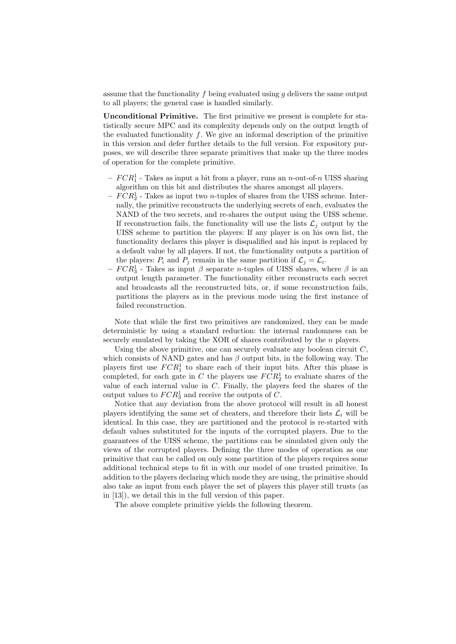assume that the functionality  $f$  being evaluated using  $g$  delivers the same output to all players; the general case is handled similarly.

Unconditional Primitive. The first primitive we present is complete for statistically secure MPC and its complexity depends only on the output length of the evaluated functionality  $f$ . We give an informal description of the primitive in this version and defer further details to the full version. For expository purposes, we will describe three separate primitives that make up the three modes of operation for the complete primitive.

- $-FCR_1^1$  Takes as input a bit from a player, runs an *n*-out-of-*n* UISS sharing algorithm on this bit and distributes the shares amongst all players.
- $-FCR_2^1$  Takes as input two *n*-tuples of shares from the UISS scheme. Internally, the primitive reconstructs the underlying secrets of each, evaluates the NAND of the two secrets, and re-shares the output using the UISS scheme. If reconstruction fails, the functionality will use the lists  $\mathcal{L}_i$  output by the UISS scheme to partition the players: If any player is on his own list, the functionality declares this player is disqualified and his input is replaced by a default value by all players. If not, the functionality outputs a partition of the players:  $P_i$  and  $P_j$  remain in the same partition if  $\mathcal{L}_j = \mathcal{L}_i$ .
- $-FCR_3^1$  Takes as input  $\beta$  separate *n*-tuples of UISS shares, where  $\beta$  is an output length parameter. The functionality either reconstructs each secret and broadcasts all the reconstructed bits, or, if some reconstruction fails, partitions the players as in the previous mode using the first instance of failed reconstruction.

Note that while the first two primitives are randomized, they can be made deterministic by using a standard reduction: the internal randomness can be securely emulated by taking the XOR of shares contributed by the  $n$  players.

Using the above primitive, one can securely evaluate any boolean circuit  $C$ . which consists of NAND gates and has  $\beta$  output bits, in the following way. The players first use  $FCR_1^1$  to share each of their input bits. After this phase is completed, for each gate in C the players use  $FCR<sub>2</sub><sup>1</sup>$  to evaluate shares of the value of each internal value in C. Finally, the players feed the shares of the output values to  $FCR_3^1$  and receive the outputs of C.

Notice that any deviation from the above protocol will result in all honest players identifying the same set of cheaters, and therefore their lists  $\mathcal{L}_i$  will be identical. In this case, they are partitioned and the protocol is re-started with default values substituted for the inputs of the corrupted players. Due to the guarantees of the UISS scheme, the partitions can be simulated given only the views of the corrupted players. Defining the three modes of operation as one primitive that can be called on only some partition of the players requires some additional technical steps to fit in with our model of one trusted primitive. In addition to the players declaring which mode they are using, the primitive should also take as input from each player the set of players this player still trusts (as in [13]), we detail this in the full version of this paper.

The above complete primitive yields the following theorem.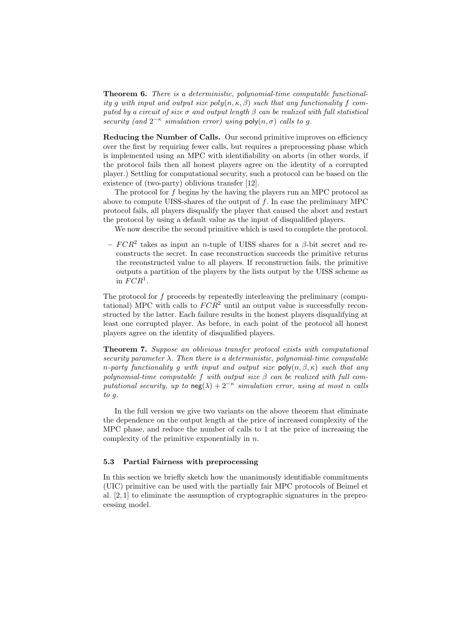Theorem 6. There is a deterministic, polynomial-time computable functionality g with input and output size  $poly(n, \kappa, \beta)$  such that any functionality f computed by a circuit of size  $\sigma$  and output length  $\beta$  can be realized with full statistical security (and  $2^{-\kappa}$  simulation error) using poly $(n, \sigma)$  calls to g.

Reducing the Number of Calls. Our second primitive improves on efficiency over the first by requiring fewer calls, but requires a preprocessing phase which is implemented using an MPC with identifiability on aborts (in other words, if the protocol fails then all honest players agree on the identity of a corrupted player.) Settling for computational security, such a protocol can be based on the existence of (two-party) oblivious transfer [12].

The protocol for  $f$  begins by the having the players run an MPC protocol as above to compute UISS-shares of the output of  $f$ . In case the preliminary MPC protocol fails, all players disqualify the player that caused the abort and restart the protocol by using a default value as the input of disqualified players.

We now describe the second primitive which is used to complete the protocol.

 $-FCR^2$  takes as input an *n*-tuple of UISS shares for a  $\beta$ -bit secret and reconstructs the secret. In case reconstruction succeeds the primitive returns the reconstructed value to all players. If reconstruction fails, the primitive outputs a partition of the players by the lists output by the UISS scheme as in  $FCR^1$ .

The protocol for f proceeds by repeatedly interleaving the preliminary (computational) MPC with calls to  $FCR<sup>2</sup>$  until an output value is successfully reconstructed by the latter. Each failure results in the honest players disqualifying at least one corrupted player. As before, in each point of the protocol all honest players agree on the identity of disqualified players.

Theorem 7. Suppose an oblivious transfer protocol exists with computational security parameter  $\lambda$ . Then there is a deterministic, polynomial-time computable n-party functionality g with input and output size  $\text{poly}(n, \beta, \kappa)$  such that any polynomial-time computable f with output size  $\beta$  can be realized with full computational security, up to  $\operatorname{neg}(\lambda) + 2^{-\kappa}$  simulation error, using at most n calls to g.

In the full version we give two variants on the above theorem that eliminate the dependence on the output length at the price of increased complexity of the MPC phase, and reduce the number of calls to 1 at the price of increasing the complexity of the primitive exponentially in  $n$ .

### 5.3 Partial Fairness with preprocessing

In this section we briefly sketch how the unanimously identifiable commitments (UIC) primitive can be used with the partially fair MPC protocols of Beimel et al. [2, 1] to eliminate the assumption of cryptographic signatures in the preprocessing model.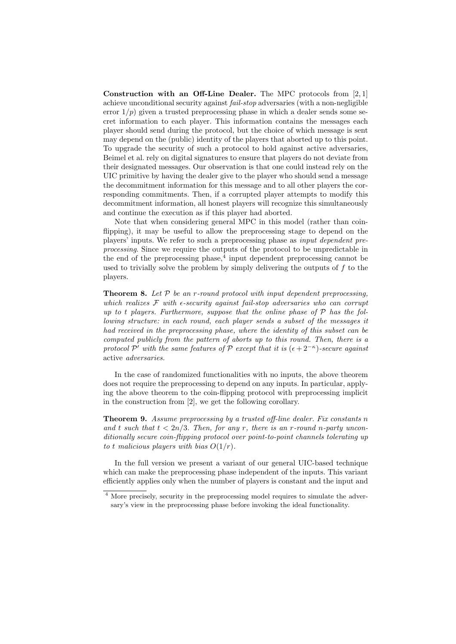**Construction with an Off-Line Dealer.** The MPC protocols from  $[2, 1]$ achieve unconditional security against *fail-stop* adversaries (with a non-negligible error  $1/p$ ) given a trusted preprocessing phase in which a dealer sends some secret information to each player. This information contains the messages each player should send during the protocol, but the choice of which message is sent may depend on the (public) identity of the players that aborted up to this point. To upgrade the security of such a protocol to hold against active adversaries, Beimel et al. rely on digital signatures to ensure that players do not deviate from their designated messages. Our observation is that one could instead rely on the UIC primitive by having the dealer give to the player who should send a message the decommitment information for this message and to all other players the corresponding commitments. Then, if a corrupted player attempts to modify this decommitment information, all honest players will recognize this simultaneously and continue the execution as if this player had aborted.

Note that when considering general MPC in this model (rather than coinflipping), it may be useful to allow the preprocessing stage to depend on the players' inputs. We refer to such a preprocessing phase as input dependent preprocessing. Since we require the outputs of the protocol to be unpredictable in the end of the preprocessing phase,<sup>4</sup> input dependent preprocessing cannot be used to trivially solve the problem by simply delivering the outputs of  $f$  to the players.

**Theorem 8.** Let  $P$  be an r-round protocol with input dependent preprocessing, which realizes  $\mathcal F$  with  $\epsilon$ -security against fail-stop adversaries who can corrupt up to t players. Furthermore, suppose that the online phase of  $P$  has the following structure: in each round, each player sends a subset of the messages it had received in the preprocessing phase, where the identity of this subset can be computed publicly from the pattern of aborts up to this round. Then, there is a protocol  $\mathcal{P}'$  with the same features of  $\mathcal P$  except that it is  $(\epsilon+2^{-\kappa})$ -secure against active adversaries.

In the case of randomized functionalities with no inputs, the above theorem does not require the preprocessing to depend on any inputs. In particular, applying the above theorem to the coin-flipping protocol with preprocessing implicit in the construction from [2], we get the following corollary.

Theorem 9. Assume preprocessing by a trusted off-line dealer. Fix constants n and t such that  $t < 2n/3$ . Then, for any r, there is an r-round n-party unconditionally secure coin-flipping protocol over point-to-point channels tolerating up to t malicious players with bias  $O(1/r)$ .

In the full version we present a variant of our general UIC-based technique which can make the preprocessing phase independent of the inputs. This variant efficiently applies only when the number of players is constant and the input and

<sup>&</sup>lt;sup>4</sup> More precisely, security in the preprocessing model requires to simulate the adversary's view in the preprocessing phase before invoking the ideal functionality.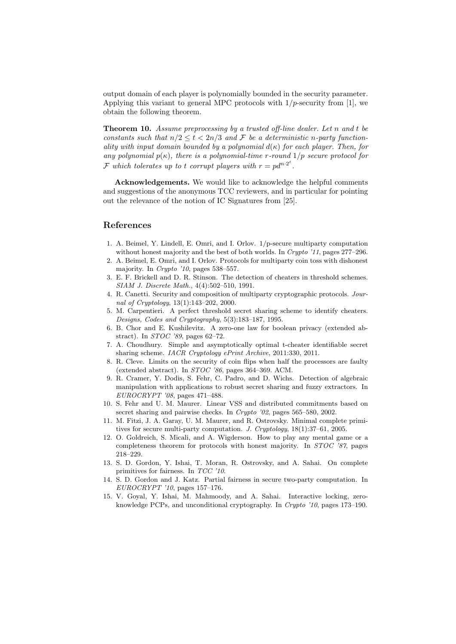output domain of each player is polynomially bounded in the security parameter. Applying this variant to general MPC protocols with  $1/p$ -security from [1], we obtain the following theorem.

**Theorem 10.** Assume preprocessing by a trusted off-line dealer. Let n and t be constants such that  $n/2 \le t \le 2n/3$  and F be a deterministic n-party functionality with input domain bounded by a polynomial  $d(\kappa)$  for each player. Then, for any polynomial  $p(\kappa)$ , there is a polynomial-time r-round  $1/p$  secure protocol for F which tolerates up to t corrupt players with  $r = pd^{n \cdot 2^t}$ .

Acknowledgements. We would like to acknowledge the helpful comments and suggestions of the anonymous TCC reviewers, and in particular for pointing out the relevance of the notion of IC Signatures from [25].

# References

- 1. A. Beimel, Y. Lindell, E. Omri, and I. Orlov. 1/p-secure multiparty computation without honest majority and the best of both worlds. In *Crypto* '11, pages 277–296.
- 2. A. Beimel, E. Omri, and I. Orlov. Protocols for multiparty coin toss with dishonest majority. In Crypto '10, pages 538–557.
- 3. E. F. Brickell and D. R. Stinson. The detection of cheaters in threshold schemes. SIAM J. Discrete Math., 4(4):502–510, 1991.
- 4. R. Canetti. Security and composition of multiparty cryptographic protocols. Journal of Cryptology, 13(1):143–202, 2000.
- 5. M. Carpentieri. A perfect threshold secret sharing scheme to identify cheaters. Designs, Codes and Cryptography, 5(3):183–187, 1995.
- 6. B. Chor and E. Kushilevitz. A zero-one law for boolean privacy (extended abstract). In STOC '89, pages 62–72.
- 7. A. Choudhury. Simple and asymptotically optimal t-cheater identifiable secret sharing scheme. IACR Cryptology ePrint Archive, 2011:330, 2011.
- 8. R. Cleve. Limits on the security of coin flips when half the processors are faulty (extended abstract). In STOC '86, pages 364–369. ACM.
- 9. R. Cramer, Y. Dodis, S. Fehr, C. Padro, and D. Wichs. Detection of algebraic manipulation with applications to robust secret sharing and fuzzy extractors. In EUROCRYPT '08, pages 471–488.
- 10. S. Fehr and U. M. Maurer. Linear VSS and distributed commitments based on secret sharing and pairwise checks. In Crypto '02, pages 565–580, 2002.
- 11. M. Fitzi, J. A. Garay, U. M. Maurer, and R. Ostrovsky. Minimal complete primitives for secure multi-party computation. J. Cryptology, 18(1):37–61, 2005.
- 12. O. Goldreich, S. Micali, and A. Wigderson. How to play any mental game or a completeness theorem for protocols with honest majority. In STOC '87, pages 218–229.
- 13. S. D. Gordon, Y. Ishai, T. Moran, R. Ostrovsky, and A. Sahai. On complete primitives for fairness. In TCC '10.
- 14. S. D. Gordon and J. Katz. Partial fairness in secure two-party computation. In  $EUROCRYPT$  '10, pages 157-176.
- 15. V. Goyal, Y. Ishai, M. Mahmoody, and A. Sahai. Interactive locking, zeroknowledge PCPs, and unconditional cryptography. In Crypto '10, pages 173-190.